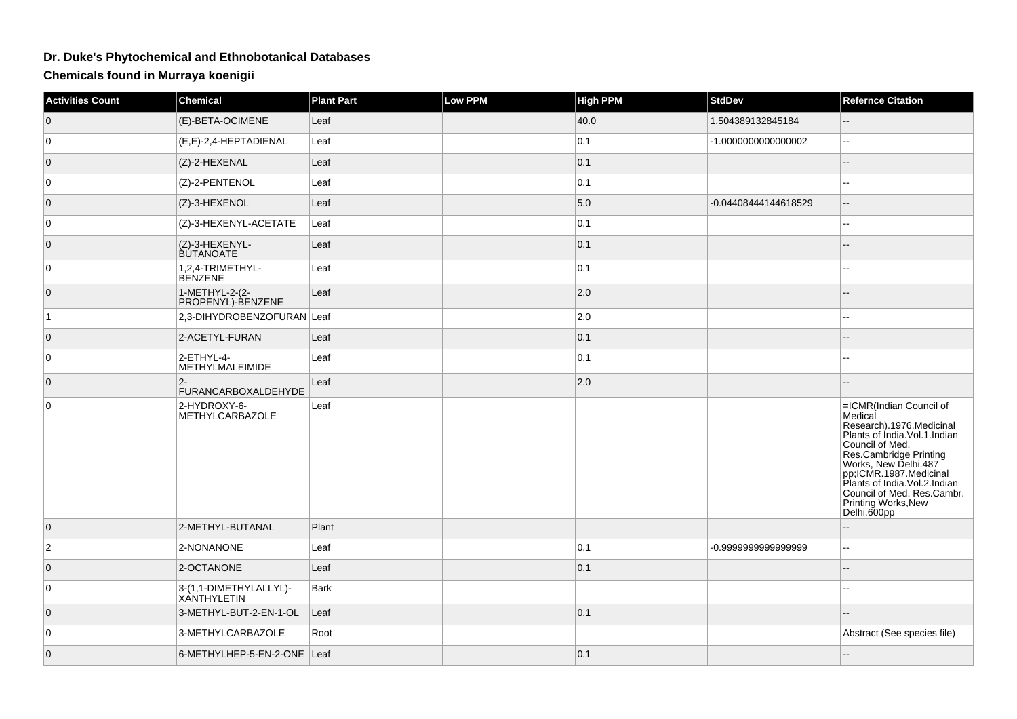## **Dr. Duke's Phytochemical and Ethnobotanical Databases**

**Chemicals found in Murraya koenigii**

| <b>Activities Count</b> | <b>Chemical</b>                        | <b>Plant Part</b> | <b>Low PPM</b> | <b>High PPM</b> | <b>StdDev</b>        | <b>Refernce Citation</b>                                                                                                                                                                                                                                                                                    |
|-------------------------|----------------------------------------|-------------------|----------------|-----------------|----------------------|-------------------------------------------------------------------------------------------------------------------------------------------------------------------------------------------------------------------------------------------------------------------------------------------------------------|
| $\mathbf 0$             | (E)-BETA-OCIMENE                       | Leaf              |                | 40.0            | 1.504389132845184    | $\sim$                                                                                                                                                                                                                                                                                                      |
| $\mathbf 0$             | (E,E)-2,4-HEPTADIENAL                  | Leaf              |                | 0.1             | -1.000000000000002   | Ξ.                                                                                                                                                                                                                                                                                                          |
| $\overline{0}$          | (Z)-2-HEXENAL                          | Leaf              |                | 0.1             |                      | $-$                                                                                                                                                                                                                                                                                                         |
| 0                       | (Z)-2-PENTENOL                         | Leaf              |                | 0.1             |                      | --                                                                                                                                                                                                                                                                                                          |
| $\overline{0}$          | (Z)-3-HEXENOL                          | Leaf              |                | 5.0             | -0.04408444144618529 | $\overline{\phantom{a}}$                                                                                                                                                                                                                                                                                    |
| 0                       | (Z)-3-HEXENYL-ACETATE                  | Leaf              |                | 0.1             |                      | --                                                                                                                                                                                                                                                                                                          |
| $\overline{0}$          | (Z)-3-HEXENYL-<br><b>BUTANOATE</b>     | Leaf              |                | 0.1             |                      |                                                                                                                                                                                                                                                                                                             |
| $\mathbf 0$             | 1,2,4-TRIMETHYL-<br><b>BENZENE</b>     | Leaf              |                | 0.1             |                      |                                                                                                                                                                                                                                                                                                             |
| $\overline{0}$          | 1-METHYL-2-(2-<br>PROPENYL)-BENZENE    | Leaf              |                | 2.0             |                      |                                                                                                                                                                                                                                                                                                             |
| ∣1.                     | 2,3-DIHYDROBENZOFURAN Leaf             |                   |                | 2.0             |                      | --                                                                                                                                                                                                                                                                                                          |
| $\overline{0}$          | 2-ACETYL-FURAN                         | Leaf              |                | 0.1             |                      |                                                                                                                                                                                                                                                                                                             |
| 0                       | 2-ETHYL-4-<br><b>METHYLMALEIMIDE</b>   | Leaf              |                | 0.1             |                      | $-1$                                                                                                                                                                                                                                                                                                        |
| $\mathbf 0$             | $2-$<br><b>FURANCARBOXALDEHYDE</b>     | Leaf              |                | $ 2.0\rangle$   |                      | --                                                                                                                                                                                                                                                                                                          |
| 0                       | 2-HYDROXY-6-<br><b>METHYLCARBAZOLE</b> | Leaf              |                |                 |                      | =ICMR(Indian Council of<br>Medical<br>Research).1976.Medicinal<br>Plants of India.Vol.1.Indian<br>Council of Med.<br><b>Bes.Cambridge Printing<br/>Works, New Delhi.487<br/>pp;ICMR.1987.Medicinal<br/>Plants of India.Vol.2.Indian</b><br>Council of Med. Res.Cambr.<br>Printing Works, New<br>Delhi.600pp |
| $\overline{0}$          | 2-METHYL-BUTANAL                       | Plant             |                |                 |                      |                                                                                                                                                                                                                                                                                                             |
| $\overline{2}$          | 2-NONANONE                             | Leaf              |                | 0.1             | -0.999999999999999   | шш.                                                                                                                                                                                                                                                                                                         |
| $\overline{0}$          | 2-OCTANONE                             | Leaf              |                | 0.1             |                      |                                                                                                                                                                                                                                                                                                             |
| 0                       | 3-(1,1-DIMETHYLALLYL)-<br>XANTHYLETIN  | <b>Bark</b>       |                |                 |                      |                                                                                                                                                                                                                                                                                                             |
| $\overline{0}$          | 3-METHYL-BUT-2-EN-1-OL                 | Leaf              |                | 0.1             |                      |                                                                                                                                                                                                                                                                                                             |
| 0                       | 3-METHYLCARBAZOLE                      | Root              |                |                 |                      | Abstract (See species file)                                                                                                                                                                                                                                                                                 |
| $\overline{0}$          | 6-METHYLHEP-5-EN-2-ONE Leaf            |                   |                | 0.1             |                      |                                                                                                                                                                                                                                                                                                             |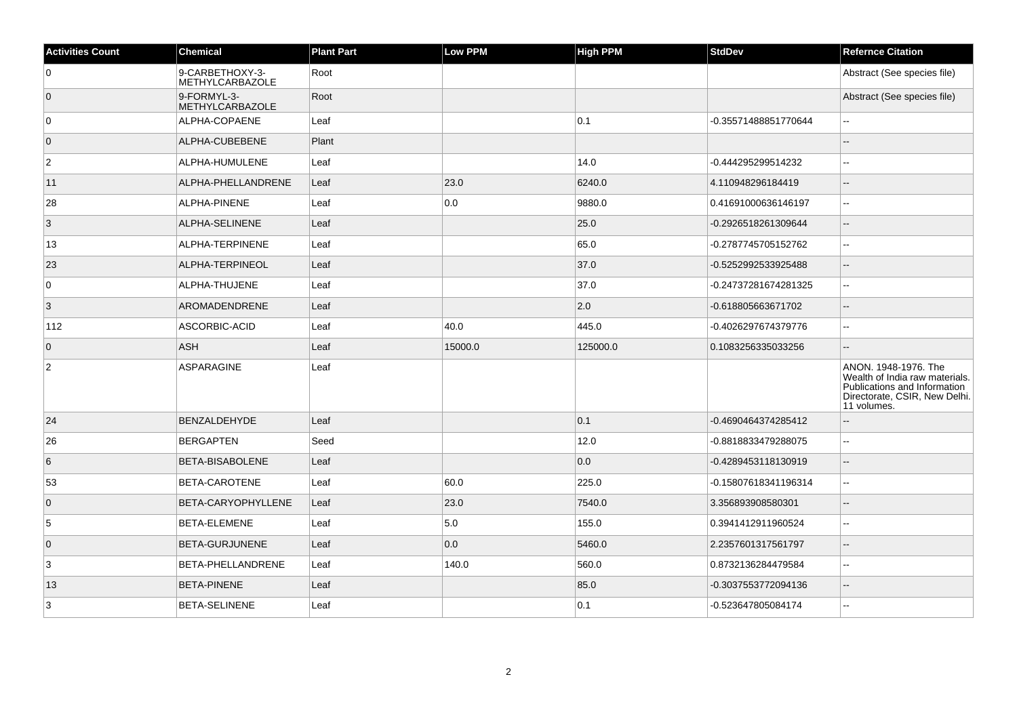| <b>Activities Count</b> | <b>Chemical</b>                           | <b>Plant Part</b> | <b>Low PPM</b> | <b>High PPM</b> | <b>StdDev</b>        | <b>Refernce Citation</b>                                                                                                               |
|-------------------------|-------------------------------------------|-------------------|----------------|-----------------|----------------------|----------------------------------------------------------------------------------------------------------------------------------------|
| $\mathbf 0$             | 9-CARBETHOXY-3-<br><b>METHYLCARBAZOLE</b> | Root              |                |                 |                      | Abstract (See species file)                                                                                                            |
| $\overline{0}$          | 9-FORMYL-3-<br>METHYLCARBAZOLE            | Root              |                |                 |                      | Abstract (See species file)                                                                                                            |
| $\overline{0}$          | ALPHA-COPAENE                             | Leaf              |                | 0.1             | -0.35571488851770644 | $\mathbf{L}$                                                                                                                           |
| $\overline{0}$          | ALPHA-CUBEBENE                            | Plant             |                |                 |                      |                                                                                                                                        |
| 2                       | ALPHA-HUMULENE                            | Leaf              |                | 14.0            | -0.444295299514232   | $\sim$ $\sim$                                                                                                                          |
| 11                      | ALPHA-PHELLANDRENE                        | Leaf              | 23.0           | 6240.0          | 4.110948296184419    | $\overline{\phantom{a}}$                                                                                                               |
| 28                      | ALPHA-PINENE                              | Leaf              | 0.0            | 9880.0          | 0.41691000636146197  | ٠.                                                                                                                                     |
| 3                       | ALPHA-SELINENE                            | Leaf              |                | 25.0            | -0.2926518261309644  | $\overline{a}$                                                                                                                         |
| 13                      | ALPHA-TERPINENE                           | Leaf              |                | 65.0            | -0.2787745705152762  | $\sim$                                                                                                                                 |
| 23                      | ALPHA-TERPINEOL                           | Leaf              |                | 37.0            | -0.5252992533925488  |                                                                                                                                        |
| $\mathbf 0$             | ALPHA-THUJENE                             | Leaf              |                | 37.0            | -0.24737281674281325 | $\ddotsc$                                                                                                                              |
| $\vert$ 3               | AROMADENDRENE                             | Leaf              |                | 2.0             | -0.618805663671702   | $\overline{\phantom{a}}$                                                                                                               |
| 112                     | ASCORBIC-ACID                             | Leaf              | 40.0           | 445.0           | -0.4026297674379776  | $-$                                                                                                                                    |
| $\overline{0}$          | <b>ASH</b>                                | Leaf              | 15000.0        | 125000.0        | 0.1083256335033256   | $\sim$                                                                                                                                 |
| $\overline{c}$          | ASPARAGINE                                | Leaf              |                |                 |                      | ANON. 1948-1976. The<br>Wealth of India raw materials.<br>Publications and Information<br>Directorate, CSIR, New Delhi.<br>11 volumes. |
| 24                      | <b>BENZALDEHYDE</b>                       | Leaf              |                | 0.1             | -0.4690464374285412  | $\overline{\phantom{a}}$                                                                                                               |
| 26                      | BERGAPTEN                                 | Seed              |                | 12.0            | -0.8818833479288075  | $\sim$                                                                                                                                 |
| 6                       | BETA-BISABOLENE                           | Leaf              |                | 0.0             | -0.4289453118130919  | $\overline{\phantom{a}}$                                                                                                               |
| 53                      | BETA-CAROTENE                             | Leaf              | 60.0           | 225.0           | -0.15807618341196314 | $\mathcal{L}_{\mathcal{F}}$                                                                                                            |
| $\overline{0}$          | BETA-CARYOPHYLLENE                        | Leaf              | 23.0           | 7540.0          | 3.356893908580301    | ٠.                                                                                                                                     |
| 5                       | BETA-ELEMENE                              | Leaf              | 5.0            | 155.0           | 0.3941412911960524   | $\ddotsc$                                                                                                                              |
| $\overline{0}$          | BETA-GURJUNENE                            | Leaf              | 0.0            | 5460.0          | 2.2357601317561797   | $\overline{\phantom{a}}$                                                                                                               |
| 3                       | BETA-PHELLANDRENE                         | Leaf              | 140.0          | 560.0           | 0.8732136284479584   | $\sim$                                                                                                                                 |
| 13                      | <b>BETA-PINENE</b>                        | Leaf              |                | 85.0            | -0.3037553772094136  | $\sim$                                                                                                                                 |
| 3                       | <b>BETA-SELINENE</b>                      | Leaf              |                | 0.1             | -0.523647805084174   | $\sim$                                                                                                                                 |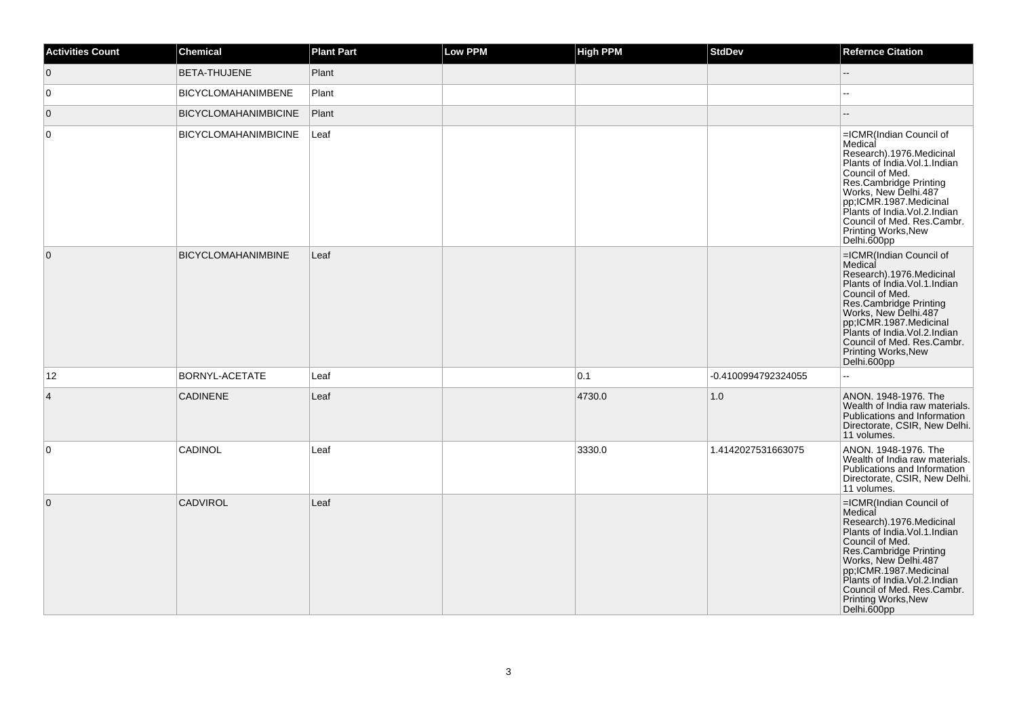| <b>Activities Count</b> | Chemical                    | <b>Plant Part</b> | Low PPM | <b>High PPM</b> | <b>StdDev</b>       | <b>Refernce Citation</b>                                                                                                                                                                                                                                                                                |
|-------------------------|-----------------------------|-------------------|---------|-----------------|---------------------|---------------------------------------------------------------------------------------------------------------------------------------------------------------------------------------------------------------------------------------------------------------------------------------------------------|
| $\overline{0}$          | BETA-THUJENE                | Plant             |         |                 |                     | $-$                                                                                                                                                                                                                                                                                                     |
| $\overline{0}$          | <b>BICYCLOMAHANIMBENE</b>   | Plant             |         |                 |                     |                                                                                                                                                                                                                                                                                                         |
| $\overline{0}$          | <b>BICYCLOMAHANIMBICINE</b> | Plant             |         |                 |                     |                                                                                                                                                                                                                                                                                                         |
| 0                       | <b>BICYCLOMAHANIMBICINE</b> | Leaf              |         |                 |                     | =ICMR(Indian Council of<br>Medical<br>Research).1976.Medicinal<br>Plants of India. Vol. 1. Indian<br>Council of Med.<br>Res.Cambridge Printing<br>Works, New Delhi.487<br>pp;ICMR.1987.Medicinal<br>Plants of India. Vol. 2. Indian<br>Council of Med. Res.Cambr.<br>Printing Works, New<br>Delhi.600pp |
| $\overline{0}$          | <b>BICYCLOMAHANIMBINE</b>   | Leaf              |         |                 |                     | =ICMR(Indian Council of<br>Medical<br>Research).1976.Medicinal<br>Plants of India. Vol. 1. Indian<br>Council of Med.<br>Res.Cambridge Printing<br>Works, New Delhi.487<br>pp;ICMR.1987.Medicinal<br>Plants of India.Vol.2.Indian<br>Council of Med. Res.Cambr.<br>Printing Works, New<br>Delhi.600pp    |
| 12                      | <b>BORNYL-ACETATE</b>       | Leaf              |         | 0.1             | -0.4100994792324055 |                                                                                                                                                                                                                                                                                                         |
| $\overline{4}$          | <b>CADINENE</b>             | Leaf              |         | 4730.0          | 1.0                 | ANON. 1948-1976. The<br>Wealth of India raw materials.<br>Publications and Information<br>Directorate, CSIR, New Delhi.<br>11 volumes.                                                                                                                                                                  |
| $\overline{0}$          | CADINOL                     | Leaf              |         | 3330.0          | 1.4142027531663075  | ANON. 1948-1976. The<br>Wealth of India raw materials.<br>Publications and Information<br>Directorate, CSIR, New Delhi.<br>11 volumes.                                                                                                                                                                  |
| $\overline{0}$          | <b>CADVIROL</b>             | Leaf              |         |                 |                     | =ICMR(Indian Council of<br>Medical<br>Research).1976.Medicinal<br>Plants of India. Vol. 1. Indian<br>Council of Med.<br>Res.Cambridge Printing<br>Works, New Delhi.487<br>pp;ICMR.1987.Medicinal<br>Plants of India. Vol. 2. Indian<br>Council of Med. Res.Cambr.<br>Printing Works, New<br>Delhi.600pp |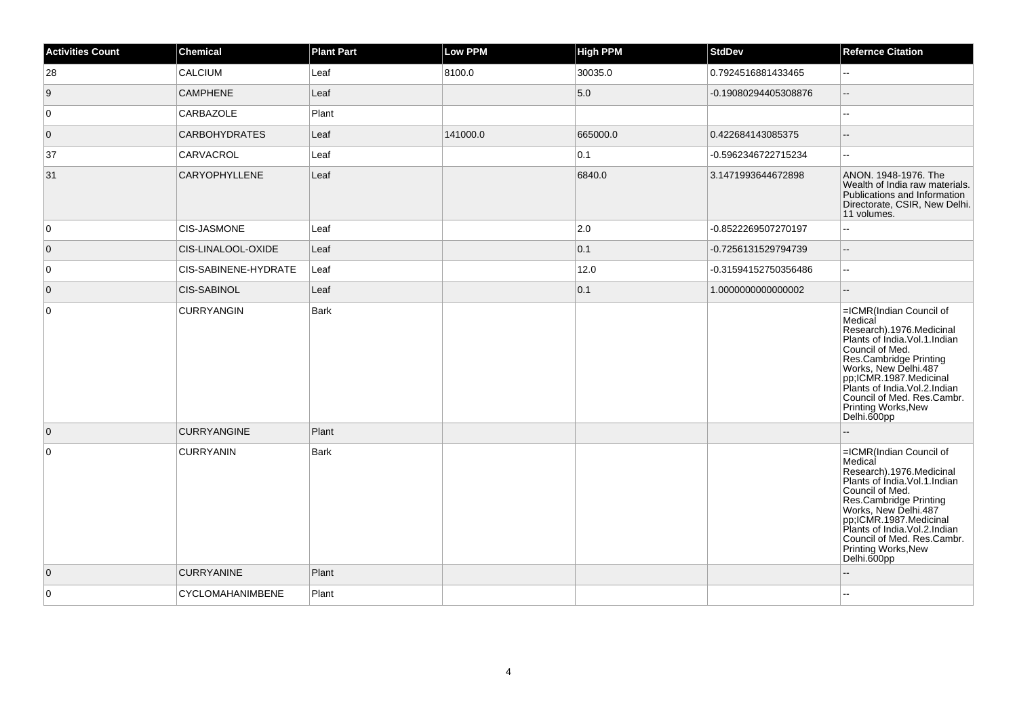| <b>Activities Count</b> | <b>Chemical</b>      | <b>Plant Part</b> | <b>Low PPM</b> | <b>High PPM</b> | <b>StdDev</b>        | <b>Refernce Citation</b>                                                                                                                                                                                                                                                                                        |
|-------------------------|----------------------|-------------------|----------------|-----------------|----------------------|-----------------------------------------------------------------------------------------------------------------------------------------------------------------------------------------------------------------------------------------------------------------------------------------------------------------|
| 28                      | CALCIUM              | Leaf              | 8100.0         | 30035.0         | 0.7924516881433465   | $\overline{\phantom{a}}$                                                                                                                                                                                                                                                                                        |
| 9                       | <b>CAMPHENE</b>      | Leaf              |                | 5.0             | -0.19080294405308876 | $-$                                                                                                                                                                                                                                                                                                             |
| $\overline{0}$          | <b>CARBAZOLE</b>     | Plant             |                |                 |                      | --                                                                                                                                                                                                                                                                                                              |
| $\overline{0}$          | <b>CARBOHYDRATES</b> | Leaf              | 141000.0       | 665000.0        | 0.422684143085375    | --                                                                                                                                                                                                                                                                                                              |
| 37                      | CARVACROL            | Leaf              |                | 0.1             | -0.5962346722715234  | $\mathbf{u}$                                                                                                                                                                                                                                                                                                    |
| 31                      | <b>CARYOPHYLLENE</b> | Leaf              |                | 6840.0          | 3.1471993644672898   | ANON. 1948-1976. The<br>Wealth of India raw materials.<br>Publications and Information<br>Directorate, CSIR, New Delhi.<br>11 volumes.                                                                                                                                                                          |
| 0                       | <b>CIS-JASMONE</b>   | Leaf              |                | 2.0             | -0.8522269507270197  | ÷÷.                                                                                                                                                                                                                                                                                                             |
| $\overline{0}$          | CIS-LINALOOL-OXIDE   | Leaf              |                | 0.1             | -0.7256131529794739  | $\overline{\phantom{a}}$                                                                                                                                                                                                                                                                                        |
| 0                       | CIS-SABINENE-HYDRATE | Leaf              |                | 12.0            | -0.31594152750356486 | $\overline{\phantom{a}}$                                                                                                                                                                                                                                                                                        |
| $\overline{0}$          | <b>CIS-SABINOL</b>   | Leaf              |                | 0.1             | 1.0000000000000002   | $-$                                                                                                                                                                                                                                                                                                             |
| $\overline{0}$          | <b>CURRYANGIN</b>    | Bark              |                |                 |                      | =ICMR(Indian Council of<br>Medical<br>Research).1976.Medicinal<br>Plants of India.Vol.1.Indian<br>Council of Med.<br>Council<br>Res.Cambridge Printing<br>Works, New Delhi.487<br>pp;ICMR.1987.Medicinal<br>Plants of India.Vol.2.Indian<br>Council of Med. Res.Cambr.<br>Printing Works, New<br>Delhi.600pp    |
| $\overline{0}$          | <b>CURRYANGINE</b>   | Plant             |                |                 |                      |                                                                                                                                                                                                                                                                                                                 |
| $\overline{0}$          | <b>CURRYANIN</b>     | Bark              |                |                 |                      | =ICMR(Indian Council of<br>Medical<br>Research).1976.Medicinal<br>Plants of India. Vol. 1. Indian<br>Council of Med.<br><b>Post Cambridge Printing<br/>Works, New Delhi.487<br/>pp;ICMR.1987.Medicinal<br/>Plants of India.Vol.2.Indian</b><br>Council of Med. Res.Cambr.<br>Printing Works, New<br>Delhi.600pp |
| $\overline{0}$          | <b>CURRYANINE</b>    | Plant             |                |                 |                      |                                                                                                                                                                                                                                                                                                                 |
| 0                       | CYCLOMAHANIMBENE     | Plant             |                |                 |                      |                                                                                                                                                                                                                                                                                                                 |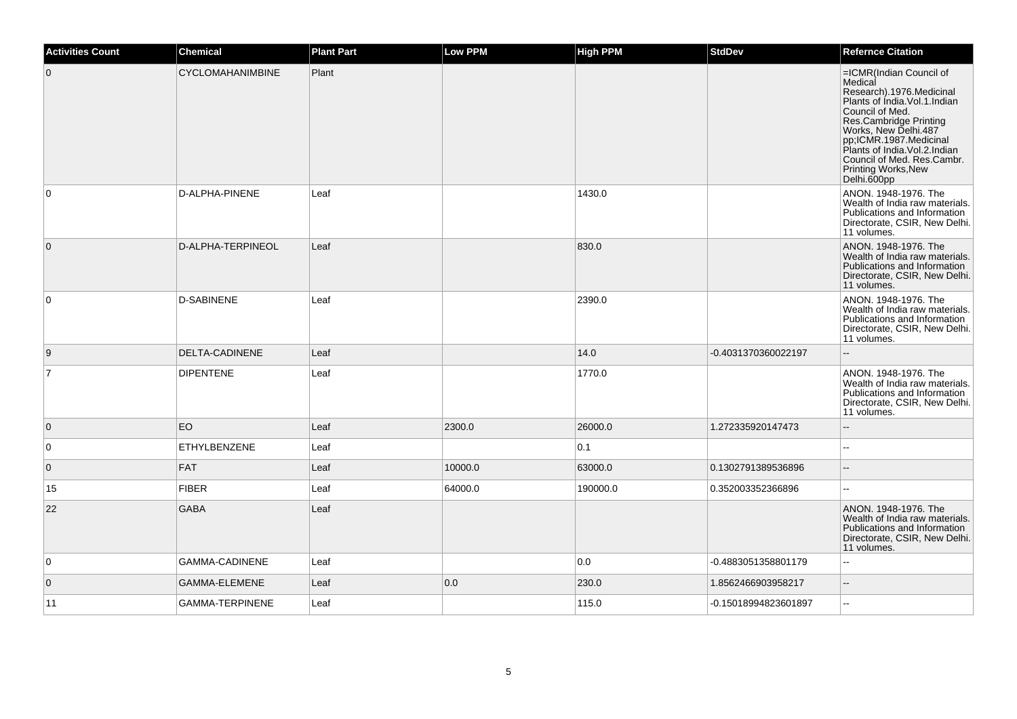| <b>Activities Count</b> | <b>Chemical</b>         | <b>Plant Part</b> | <b>Low PPM</b> | <b>High PPM</b> | <b>StdDev</b>        | <b>Refernce Citation</b>                                                                                                                                                                                                                                                                             |
|-------------------------|-------------------------|-------------------|----------------|-----------------|----------------------|------------------------------------------------------------------------------------------------------------------------------------------------------------------------------------------------------------------------------------------------------------------------------------------------------|
| $\overline{0}$          | <b>CYCLOMAHANIMBINE</b> | Plant             |                |                 |                      | =ICMR(Indian Council of<br>Medical<br>Research).1976.Medicinal<br>Plants of India. Vol. 1. Indian<br>Council of Med.<br>Res.Cambridge Printing<br>Works, New Delhi.487<br>pp,ICMR.1987.Medicinal<br>Plants of India.Vol.2.Indian<br>Council of Med. Res.Cambr.<br>Printing Works, New<br>Delhi.600pp |
| $\overline{0}$          | D-ALPHA-PINENE          | Leaf              |                | 1430.0          |                      | ANON. 1948-1976. The<br>Wealth of India raw materials.<br>Publications and Information<br>Directorate, CSIR, New Delhi.<br>11 volumes.                                                                                                                                                               |
| $\overline{0}$          | D-ALPHA-TERPINEOL       | Leaf              |                | 830.0           |                      | ANON. 1948-1976. The<br>Wealth of India raw materials.<br>Publications and Information<br>Directorate, CSIR, New Delhi.<br>11 volumes.                                                                                                                                                               |
| $\overline{0}$          | <b>D-SABINENE</b>       | Leaf              |                | 2390.0          |                      | ANON. 1948-1976. The<br>Wealth of India raw materials.<br>Publications and Information<br>Directorate, CSIR, New Delhi.<br>11 volumes.                                                                                                                                                               |
| 9                       | DELTA-CADINENE          | Leaf              |                | 14.0            | -0.4031370360022197  | --                                                                                                                                                                                                                                                                                                   |
| $\overline{7}$          | <b>DIPENTENE</b>        | Leaf              |                | 1770.0          |                      | ANON. 1948-1976. The<br>Wealth of India raw materials.<br>Publications and Information<br>Directorate, CSIR, New Delhi.<br>11 volumes.                                                                                                                                                               |
| $\overline{0}$          | <b>EO</b>               | Leaf              | 2300.0         | 26000.0         | 1.272335920147473    | --                                                                                                                                                                                                                                                                                                   |
| $\overline{0}$          | <b>ETHYLBENZENE</b>     | Leaf              |                | 0.1             |                      | $\sim$                                                                                                                                                                                                                                                                                               |
| $\overline{0}$          | <b>FAT</b>              | Leaf              | 10000.0        | 63000.0         | 0.1302791389536896   |                                                                                                                                                                                                                                                                                                      |
| 15                      | <b>FIBER</b>            | Leaf              | 64000.0        | 190000.0        | 0.352003352366896    |                                                                                                                                                                                                                                                                                                      |
| 22                      | <b>GABA</b>             | Leaf              |                |                 |                      | ANON, 1948-1976. The<br>Wealth of India raw materials.<br>Publications and Information<br>Directorate, CSIR, New Delhi.<br>11 volumes.                                                                                                                                                               |
| 0                       | GAMMA-CADINENE          | Leaf              |                | 0.0             | -0.4883051358801179  | ă.                                                                                                                                                                                                                                                                                                   |
| $\overline{0}$          | GAMMA-ELEMENE           | Leaf              | 0.0            | 230.0           | 1.8562466903958217   | $\overline{\phantom{a}}$                                                                                                                                                                                                                                                                             |
| 11                      | <b>GAMMA-TERPINENE</b>  | Leaf              |                | 115.0           | -0.15018994823601897 | $\mathbf{u}$                                                                                                                                                                                                                                                                                         |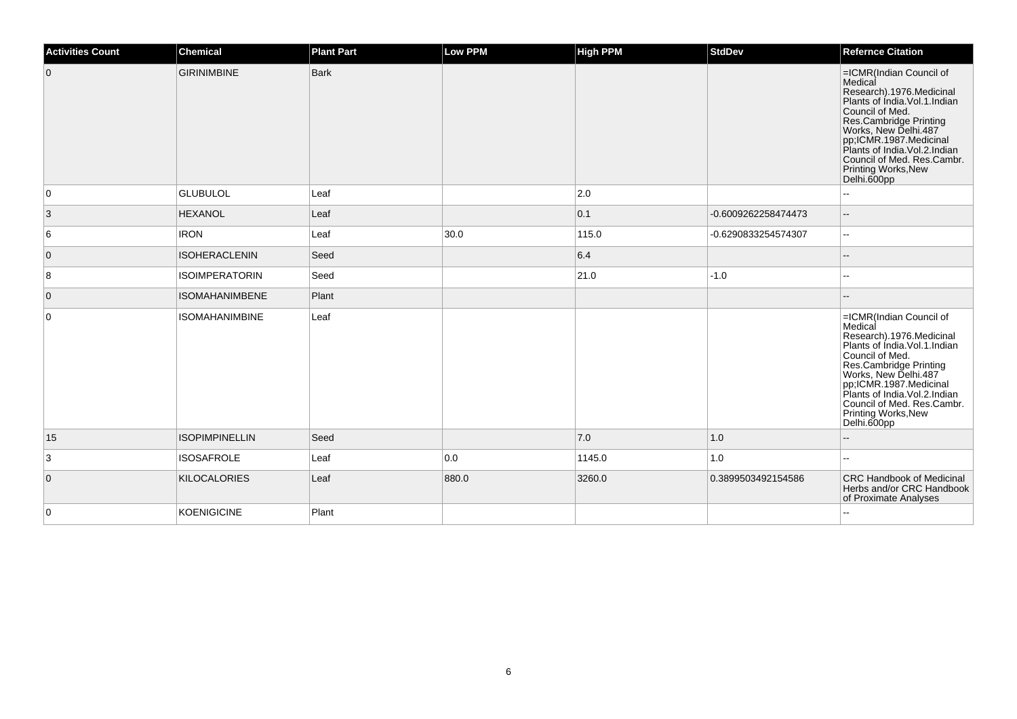| <b>Activities Count</b> | <b>Chemical</b>       | <b>Plant Part</b> | <b>Low PPM</b> | <b>High PPM</b> | <b>StdDev</b>       | <b>Refernce Citation</b>                                                                                                                                                                                                                                                                             |
|-------------------------|-----------------------|-------------------|----------------|-----------------|---------------------|------------------------------------------------------------------------------------------------------------------------------------------------------------------------------------------------------------------------------------------------------------------------------------------------------|
| $\overline{0}$          | <b>GIRINIMBINE</b>    | <b>Bark</b>       |                |                 |                     | =ICMR(Indian Council of<br>Medical<br>Research).1976.Medicinal<br>Plants of India.Vol.1.Indian<br>Council of Med.<br>Res.Cambridge Printing<br>Works, New Delhi.487<br>pp;ICMR.1987.Medicinal<br>Plants of India.Vol.2.Indian<br>Council of Med. Res.Cambr.<br>Printing Works, New<br>Delhi.600pp    |
| $\overline{0}$          | <b>GLUBULOL</b>       | Leaf              |                | 2.0             |                     |                                                                                                                                                                                                                                                                                                      |
| $\mathbf{3}$            | <b>HEXANOL</b>        | Leaf              |                | 0.1             | -0.6009262258474473 |                                                                                                                                                                                                                                                                                                      |
| 6                       | <b>IRON</b>           | Leaf              | 30.0           | 115.0           | -0.6290833254574307 | $\overline{\phantom{a}}$                                                                                                                                                                                                                                                                             |
| $\overline{0}$          | <b>ISOHERACLENIN</b>  | Seed              |                | 6.4             |                     |                                                                                                                                                                                                                                                                                                      |
| 8                       | <b>ISOIMPERATORIN</b> | Seed              |                | 21.0            | $-1.0$              | $\overline{\phantom{a}}$                                                                                                                                                                                                                                                                             |
| $\overline{0}$          | <b>ISOMAHANIMBENE</b> | Plant             |                |                 |                     |                                                                                                                                                                                                                                                                                                      |
| $\overline{0}$          | <b>ISOMAHANIMBINE</b> | Leaf              |                |                 |                     | =ICMR(Indian Council of<br>Medical<br>Research).1976.Medicinal<br>Plants of India. Vol. 1. Indian<br>Council of Med.<br>Res.Cambridge Printing<br>Works, New Delhi.487<br>pp;ICMR.1987.Medicinal<br>Plants of India.Vol.2.Indian<br>Council of Med. Res.Cambr.<br>Printing Works, New<br>Delhi.600pp |
| 15                      | <b>ISOPIMPINELLIN</b> | Seed              |                | 7.0             | 1.0                 |                                                                                                                                                                                                                                                                                                      |
| 3                       | <b>ISOSAFROLE</b>     | Leaf              | 0.0            | 1145.0          | 1.0                 | $\sim$                                                                                                                                                                                                                                                                                               |
| $\overline{0}$          | <b>KILOCALORIES</b>   | Leaf              | 880.0          | 3260.0          | 0.3899503492154586  | <b>CRC Handbook of Medicinal</b><br>Herbs and/or CRC Handbook<br>of Proximate Analyses                                                                                                                                                                                                               |
| $\overline{0}$          | <b>KOENIGICINE</b>    | Plant             |                |                 |                     | $\sim$                                                                                                                                                                                                                                                                                               |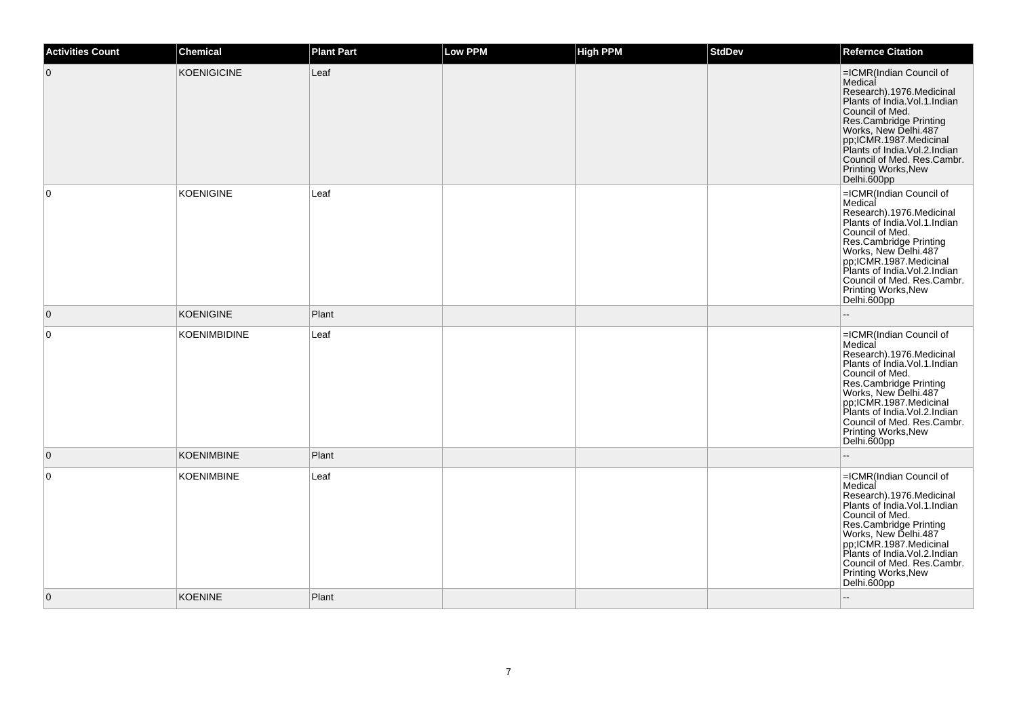| <b>Activities Count</b> | <b>Chemical</b>     | <b>Plant Part</b> | <b>Low PPM</b> | <b>High PPM</b> | <b>StdDev</b> | <b>Refernce Citation</b>                                                                                                                                                                                                                                                                                |
|-------------------------|---------------------|-------------------|----------------|-----------------|---------------|---------------------------------------------------------------------------------------------------------------------------------------------------------------------------------------------------------------------------------------------------------------------------------------------------------|
| $\overline{0}$          | <b>KOENIGICINE</b>  | Leaf              |                |                 |               | =ICMR(Indian Council of<br>Medical<br>Research).1976.Medicinal<br>Plants of India.Vol.1.Indian<br>Council of Med.<br>Res.Cambridge Printing<br>Works, New Delhi.487<br>pp;ICMR.1987.Medicinal<br>Plants of India.Vol.2.Indian<br>Council of Med. Res.Cambr.<br>Printing Works, New<br>Delhi.600pp       |
| 0                       | <b>KOENIGINE</b>    | Leaf              |                |                 |               | =ICMR(Indian Council of<br>Medical<br>Research).1976.Medicinal<br>Plants of Índia.Vol.1.Indian<br>Council of Med.<br>Res.Cambridge Printing<br>Works, New Delhi.487<br>pp;ICMR.1987.Medicinal<br>Plants of India.Vol.2.Indian<br>Council of Med. Res.Cambr.<br>Printing Works, New<br>Delhi.600pp       |
| $\overline{0}$          | <b>KOENIGINE</b>    | Plant             |                |                 |               | ÷.                                                                                                                                                                                                                                                                                                      |
| $\mathbf 0$             | <b>KOENIMBIDINE</b> | Leaf              |                |                 |               | =ICMR(Indian Council of<br>Medical<br>Research).1976.Medicinal<br>Plants of India. Vol. 1. Indian<br>Council of Med.<br>Res.Cambridge Printing<br>Works, New Delhi 487<br>pp;ICMR.1987.Medicinal<br>Plants of India. Vol. 2. Indian<br>Council of Med. Res.Cambr.<br>Printing Works, New<br>Delhi.600pp |
| $\mathbf{0}$            | <b>KOENIMBINE</b>   | Plant             |                |                 |               |                                                                                                                                                                                                                                                                                                         |
| $\mathbf 0$             | <b>KOENIMBINE</b>   | Leaf              |                |                 |               | =ICMR(Indian Council of<br>Medical<br>Research).1976.Medicinal<br>Plants of India. Vol. 1. Indian<br>Council of Med.<br>Res.Cambridge Printing<br>Works, New Delhi.487<br>pp;ICMR.1987.Medicinal<br>Plants of India. Vol. 2. Indian<br>Council of Med. Res.Cambr.<br>Printing Works, New<br>Delhi.600pp |
| $\overline{0}$          | <b>KOENINE</b>      | Plant             |                |                 |               |                                                                                                                                                                                                                                                                                                         |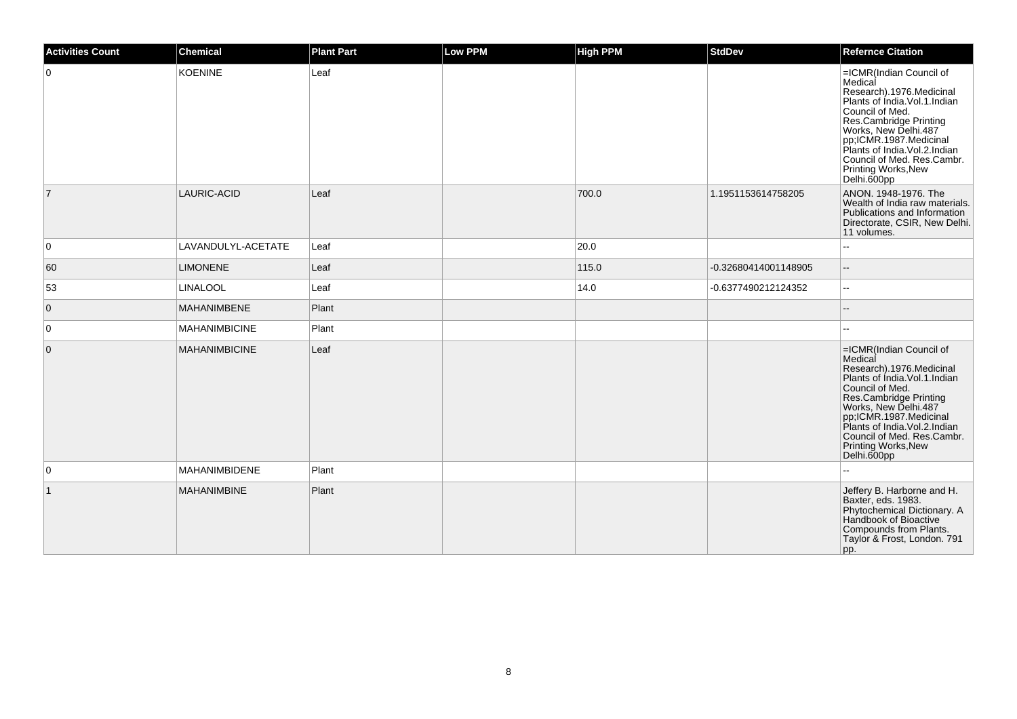| <b>Activities Count</b> | <b>Chemical</b>      | <b>Plant Part</b> | <b>Low PPM</b> | <b>High PPM</b> | <b>StdDev</b>        | <b>Refernce Citation</b>                                                                                                                                                                                                                                                                               |
|-------------------------|----------------------|-------------------|----------------|-----------------|----------------------|--------------------------------------------------------------------------------------------------------------------------------------------------------------------------------------------------------------------------------------------------------------------------------------------------------|
| $\overline{0}$          | <b>KOENINE</b>       | Leaf              |                |                 |                      | =ICMR(Indian Council of<br>Medical<br>Research).1976.Medicinal<br>Plants of Índia.Vol.1.Indian<br>Council of Med.<br>Res.Cambridge Printing<br>Works, New Delhi.487<br>pp;ICMR.1987.Medicinal<br>Plants of India. Vol. 2. Indian<br>Council of Med. Res.Cambr.<br>Printing Works, New<br>Delhi.600pp   |
| $\overline{7}$          | LAURIC-ACID          | Leaf              |                | 700.0           | 1.1951153614758205   | ANON. 1948-1976. The<br>Wealth of India raw materials.<br>Publications and Information<br>Directorate, CSIR, New Delhi.<br>11 volumes.                                                                                                                                                                 |
| 0                       | LAVANDULYL-ACETATE   | Leaf              |                | 20.0            |                      |                                                                                                                                                                                                                                                                                                        |
| 60                      | <b>LIMONENE</b>      | Leaf              |                | 115.0           | -0.32680414001148905 | $\overline{\phantom{a}}$                                                                                                                                                                                                                                                                               |
| 53                      | <b>LINALOOL</b>      | Leaf              |                | 14.0            | -0.6377490212124352  | $\overline{a}$                                                                                                                                                                                                                                                                                         |
| $\overline{0}$          | MAHANIMBENE          | Plant             |                |                 |                      |                                                                                                                                                                                                                                                                                                        |
| $\overline{0}$          | <b>MAHANIMBICINE</b> | Plant             |                |                 |                      |                                                                                                                                                                                                                                                                                                        |
| $\overline{0}$          | <b>MAHANIMBICINE</b> | Leaf              |                |                 |                      | =ICMR(Indian Council of<br>Medical<br>Research).1976.Medicinal<br>Plants of India. Vol. 1. Indian<br>Council of Med.<br>Res.Cambridge Printing<br>Works, New Delhi.487<br>pp;ICMR.1987.Medicinal<br>Plants of India. Vol.2. Indian<br>Council of Med. Res.Cambr.<br>Printing Works, New<br>Delhi.600pp |
| $\overline{0}$          | MAHANIMBIDENE        | Plant             |                |                 |                      |                                                                                                                                                                                                                                                                                                        |
| $\overline{1}$          | <b>MAHANIMBINE</b>   | Plant             |                |                 |                      | Jeffery B. Harborne and H.<br>Baxter, eds. 1983.<br>Phytochemical Dictionary. A<br>Handbook of Bioactive<br>Compounds from Plants.<br>Taylor & Frost, London. 791<br>pp.                                                                                                                               |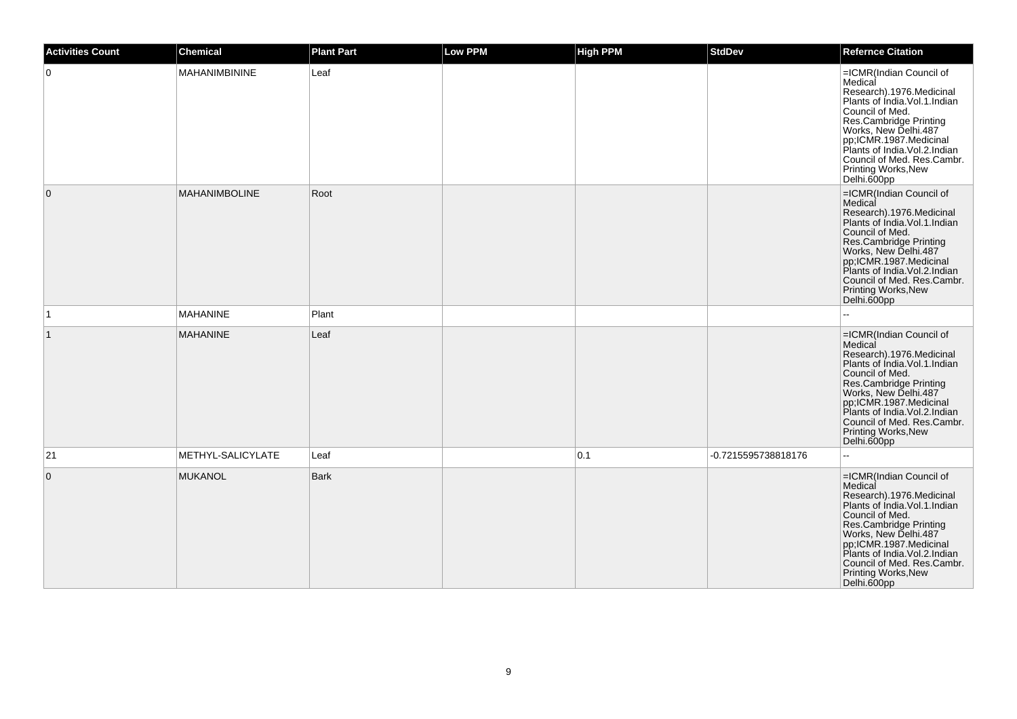| <b>Activities Count</b> | <b>Chemical</b>      | <b>Plant Part</b> | Low PPM | <b>High PPM</b> | <b>StdDev</b>       | <b>Refernce Citation</b>                                                                                                                                                                                                                                                                                            |
|-------------------------|----------------------|-------------------|---------|-----------------|---------------------|---------------------------------------------------------------------------------------------------------------------------------------------------------------------------------------------------------------------------------------------------------------------------------------------------------------------|
| $\overline{0}$          | MAHANIMBININE        | Leaf              |         |                 |                     | =ICMR(Indian Council of<br>Medical<br>Research).1976.Medicinal<br>Plants of India.Vol.1.Indian<br>Council of Med.<br><b>Standard Control Printing<br/> Res.Cambridge Printing<br/> pr: CMR.1987.Medicinal<br/> Plants of India.Vol.2.Indian</b><br>Council of Med. Res.Cambr.<br>Printing Works, New<br>Delhi.600pp |
| $\overline{0}$          | <b>MAHANIMBOLINE</b> | Root              |         |                 |                     | =ICMR(Indian Council of<br>Medical<br>Research).1976.Medicinal<br>Plants of India. Vol. 1. Indian<br>Council of Med.<br>Res.Cambridge Printing<br>Works, New Delhi.487<br>pp;ICMR.1987.Medicinal<br>Plants of India.Vol.2.Indian<br>Council of Med. Res.Cambr.<br>Printing Works, New<br>Delhi.600pp                |
| $\vert$ 1               | <b>MAHANINE</b>      | Plant             |         |                 |                     |                                                                                                                                                                                                                                                                                                                     |
| $\vert$ 1               | <b>MAHANINE</b>      | Leaf              |         |                 |                     | =ICMR(Indian Council of<br>Medical<br>Research).1976.Medicinal<br>Plants of India. Vol. 1. Indian<br>Council of Med.<br>Res.Cambridge Printing<br>Works, New Delhi.487<br>pp;ICMR.1987.Medicinal<br>Plants of India. Vol. 2. Indian<br>Council of Med. Res.Cambr.<br>Printing Works, New<br>Delhi.600pp             |
| 21                      | METHYL-SALICYLATE    | Leaf              |         | 0.1             | -0.7215595738818176 |                                                                                                                                                                                                                                                                                                                     |
| $\overline{0}$          | <b>MUKANOL</b>       | <b>Bark</b>       |         |                 |                     | =ICMR(Indian Council of<br>Medical<br>Research).1976.Medicinal<br>Plants of India. Vol. 1. Indian<br>Council of Med.<br>Res.Cambridge Printing<br>Works, New Delhi.487<br>pp;ICMR.1987.Medicinal<br>Plants of India. Vol. 2. Indian<br>Council of Med. Res.Cambr.<br>Printing Works, New<br>Delhi.600pp             |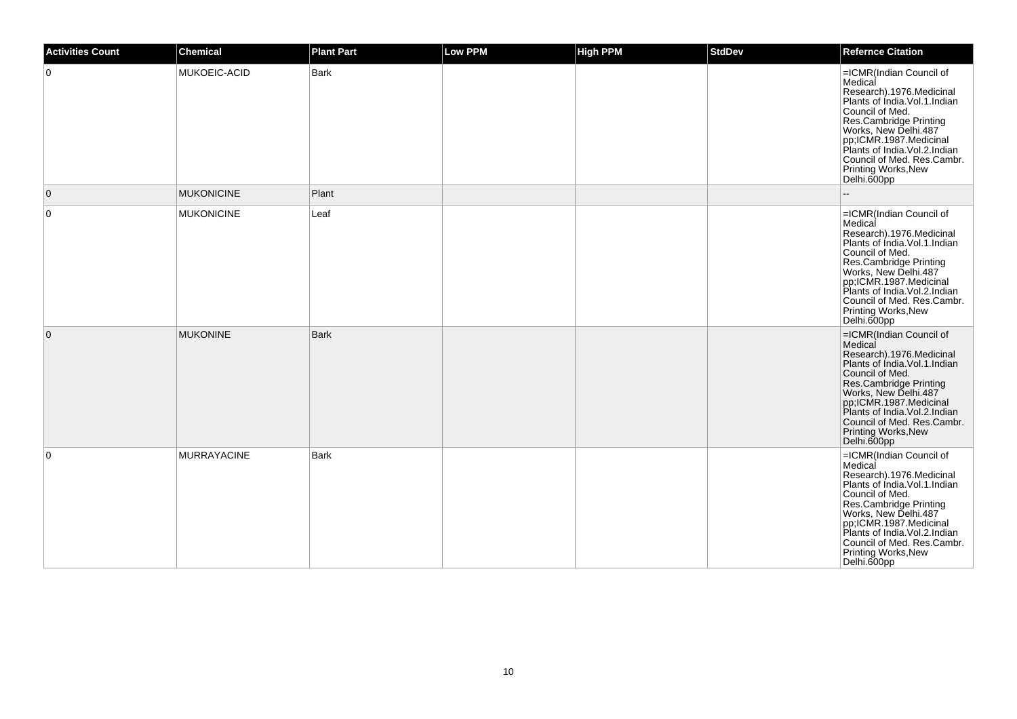| <b>Activities Count</b> | <b>Chemical</b>    | <b>Plant Part</b> | <b>Low PPM</b> | <b>High PPM</b> | <b>StdDev</b> | <b>Refernce Citation</b>                                                                                                                                                                                                                                                                                |
|-------------------------|--------------------|-------------------|----------------|-----------------|---------------|---------------------------------------------------------------------------------------------------------------------------------------------------------------------------------------------------------------------------------------------------------------------------------------------------------|
| 0                       | MUKOEIC-ACID       | Bark              |                |                 |               | =ICMR(Indian Council of<br>Medical<br>Research).1976.Medicinal<br>Plants of Índia. Vol. 1. Indian<br>Council of Med.<br>Res.Cambridge Printing<br>Works, New Delhi.487<br>pp;ICMR.1987.Medicinal<br>Plants of India.Vol.2.Indian<br>Council of Med. Res.Cambr.<br>Printing Works, New<br>Delhi.600pp    |
| $\mathbf 0$             | <b>MUKONICINE</b>  | Plant             |                |                 |               |                                                                                                                                                                                                                                                                                                         |
| 0                       | <b>MUKONICINE</b>  | Leaf              |                |                 |               | =ICMR(Indian Council of<br>Medical<br>Research).1976.Medicinal<br>Plants of Índia. Vol. 1. Indian<br>Council of Med.<br>Res.Cambridge Printing<br>Works, New Delhi.487<br>pp,ICMR.1987.Medicinal<br>Plants of India. Vol. 2. Indian<br>Council of Med. Res.Cambr.<br>Printing Works, New<br>Delhi.600pp |
| $\mathbf 0$             | <b>MUKONINE</b>    | <b>Bark</b>       |                |                 |               | =ICMR(Indian Council of<br>Medical<br>Research).1976.Medicinal<br>Plants of India. Vol.1. Indian<br>Council of Med.<br>Res.Cambridge Printing<br>Works, New Delhi.487<br>pp;ICMR.1987.Medicinal<br>Plants of India. Vol. 2. Indian<br>Council of Med. Res.Cambr.<br>Printing Works, New<br>Delhi.600pp  |
| 0                       | <b>MURRAYACINE</b> | <b>Bark</b>       |                |                 |               | =ICMR(Indian Council of<br>Medical<br>Research).1976.Medicinal<br>Plants of India. Vol. 1. Indian<br>Council of Med.<br>Res.Cambridge Printing<br>Works, New Delhi.487<br>pp;ICMR.1987.Medicinal<br>Plants of India. Vol. 2. Indian<br>Council of Med. Res.Cambr.<br>Printing Works, New<br>Delhi.600pp |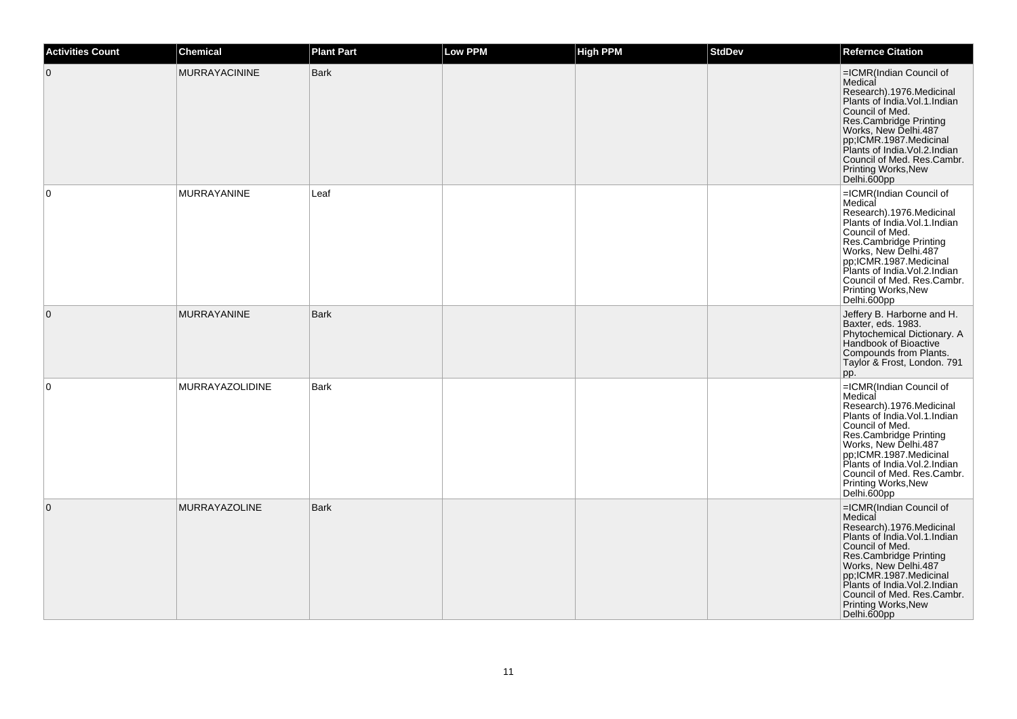| <b>Activities Count</b> | <b>Chemical</b>        | <b>Plant Part</b> | <b>Low PPM</b> | <b>High PPM</b> | <b>StdDev</b> | <b>Refernce Citation</b>                                                                                                                                                                                                                                                                             |
|-------------------------|------------------------|-------------------|----------------|-----------------|---------------|------------------------------------------------------------------------------------------------------------------------------------------------------------------------------------------------------------------------------------------------------------------------------------------------------|
| $\mathbf 0$             | <b>MURRAYACININE</b>   | <b>Bark</b>       |                |                 |               | =ICMR(Indian Council of<br>Medical<br>Research).1976.Medicinal<br>Plants of India.Vol.1.Indian<br>Council of Med.<br>Res.Cambridge Printing<br>Works, New Delhi.487<br>pp,ICMR.1987.Medicinal<br>Plants of India. Vol. 2. Indian<br>Council of Med. Res.Cambr.<br>Printing Works, New<br>Delhi.600pp |
| $\mathbf 0$             | <b>MURRAYANINE</b>     | Leaf              |                |                 |               | =ICMR(Indian Council of<br>Medical<br>Research).1976.Medicinal<br>Plants of India.Vol.1.Indian<br>Council of Med.<br>Res.Cambridge Printing<br>Works, New Delhi.487<br>pp;ICMR.1987.Medicinal<br>Plants of India.Vol.2.Indian<br>Council of Med. Res.Cambr.<br>Printing Works, New<br>Delhi.600pp    |
| $\overline{0}$          | <b>MURRAYANINE</b>     | <b>Bark</b>       |                |                 |               | Jeffery B. Harborne and H.<br>Baxter, eds. 1983.<br>Phytochemical Dictionary. A<br>Handbook of Bioactive<br>Compounds from Plants.<br>Taylor & Frost, London. 791<br>pp.                                                                                                                             |
| $\mathbf 0$             | <b>MURRAYAZOLIDINE</b> | <b>Bark</b>       |                |                 |               | =ICMR(Indian Council of<br>Medical<br>Research).1976.Medicinal<br>Plants of India. Vol. 1. Indian<br>Council of Med.<br>Res.Cambridge Printing<br>Works, New Delhi.487<br>pp;ICMR.1987.Medicinal<br>Plants of India.Vol.2.Indian<br>Council of Med. Res.Cambr.<br>Printing Works, New<br>Delhi.600pp |
| $\mathbf{0}$            | MURRAYAZOLINE          | <b>Bark</b>       |                |                 |               | =ICMR(Indian Council of<br>Medical<br>Research).1976.Medicinal<br>Plants of India. Vol. 1. Indian<br>Council of Med.<br>Res.Cambridge Printing<br>Works, New Delhi.487<br>pp;ICMR.1987.Medicinal<br>Plants of India.Vol.2.Indian<br>Council of Med. Res.Cambr.<br>Printing Works, New<br>Delhi.600pp |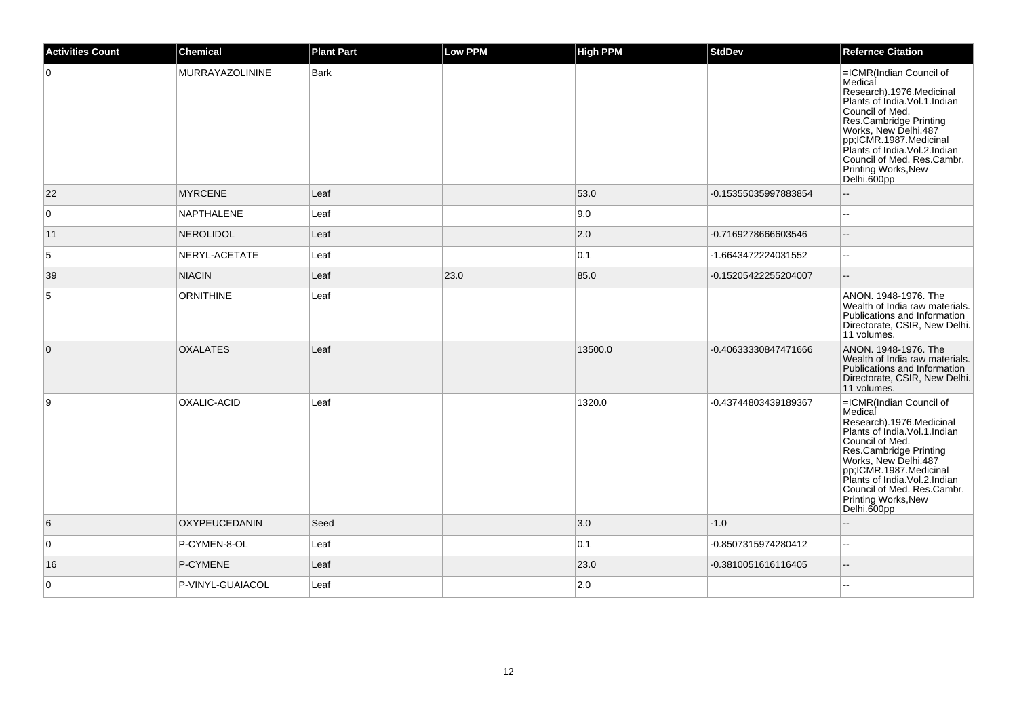| <b>Activities Count</b> | <b>Chemical</b>        | <b>Plant Part</b> | <b>Low PPM</b> | <b>High PPM</b> | <b>StdDev</b>        | <b>Refernce Citation</b>                                                                                                                                                                                                                                                                                        |
|-------------------------|------------------------|-------------------|----------------|-----------------|----------------------|-----------------------------------------------------------------------------------------------------------------------------------------------------------------------------------------------------------------------------------------------------------------------------------------------------------------|
| $\overline{0}$          | <b>MURRAYAZOLININE</b> | Bark              |                |                 |                      | =ICMR(Indian Council of<br>Medical<br>Research).1976.Medicinal<br>Plants of India.Vol.1.Indian<br>Council of Med.<br><b>Post Cambridge Printing<br/> Res.Cambridge Printing<br/> Works, New Delhi.487<br/> Plants of India.Vol.2.Indian</b><br>Council of Med. Res.Cambr.<br>Printing Works, New<br>Delhi.600pp |
| 22                      | <b>MYRCENE</b>         | Leaf              |                | 53.0            | -0.15355035997883854 | $-$                                                                                                                                                                                                                                                                                                             |
| $\overline{0}$          | <b>NAPTHALENE</b>      | Leaf              |                | 9.0             |                      |                                                                                                                                                                                                                                                                                                                 |
| 11                      | NEROLIDOL              | Leaf              |                | $ 2.0\rangle$   | -0.7169278666603546  | $-$                                                                                                                                                                                                                                                                                                             |
| $\sqrt{5}$              | NERYL-ACETATE          | Leaf              |                | 0.1             | -1.6643472224031552  | $\overline{a}$                                                                                                                                                                                                                                                                                                  |
| 39                      | <b>NIACIN</b>          | Leaf              | 23.0           | 85.0            | -0.15205422255204007 | $\overline{\phantom{a}}$                                                                                                                                                                                                                                                                                        |
| $\sqrt{5}$              | <b>ORNITHINE</b>       | Leaf              |                |                 |                      | ANON. 1948-1976. The<br>Wealth of India raw materials.<br>Publications and Information<br>Directorate, CSIR, New Delhi.<br>11 volumes.                                                                                                                                                                          |
| $\overline{0}$          | <b>OXALATES</b>        | Leaf              |                | 13500.0         | -0.40633330847471666 | ANON. 1948-1976. The<br>Wealth of India raw materials.<br>Publications and Information<br>Directorate, CSIR, New Delhi.<br>11 volumes.                                                                                                                                                                          |
| 9                       | <b>OXALIC-ACID</b>     | Leaf              |                | 1320.0          | -0.43744803439189367 | =ICMR(Indian Council of<br>Medical<br>Research).1976.Medicinal<br>Plants of India. Vol. 1. Indian<br>Council of Med.<br>Res.Cambridge Printing<br>Works, New Delhi.487<br>pp;ICMR.1987.Medicinal<br>Plants of India.Vol.2.Indian<br>Council of Med. Res.Cambr.<br>Printing Works, New<br>Delhi.600pp            |
| 6                       | OXYPEUCEDANIN          | Seed              |                | 3.0             | $-1.0$               |                                                                                                                                                                                                                                                                                                                 |
| $\overline{0}$          | P-CYMEN-8-OL           | Leaf              |                | 0.1             | -0.8507315974280412  | $\sim$                                                                                                                                                                                                                                                                                                          |
| 16                      | P-CYMENE               | Leaf              |                | 23.0            | -0.3810051616116405  | $-$                                                                                                                                                                                                                                                                                                             |
| $\overline{0}$          | P-VINYL-GUAIACOL       | Leaf              |                | 2.0             |                      |                                                                                                                                                                                                                                                                                                                 |